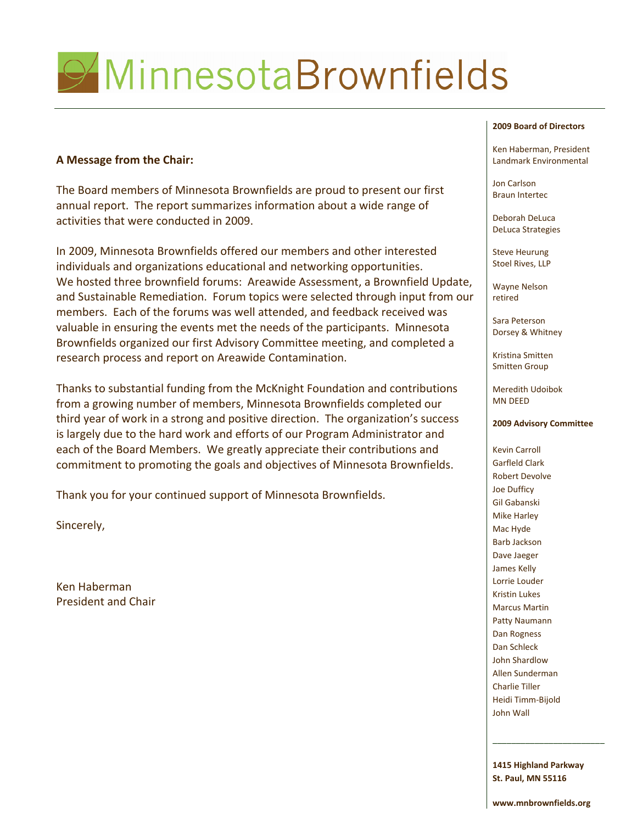# MinnesotaBrownfields

# **A Message from the Chair:**

The Board members of Minnesota Brownfields are proud to present our first annual report. The report summarizes information about a wide range of activities that were conducted in 2009.

In 2009, Minnesota Brownfields offered our members and other interested individuals and organizations educational and networking opportunities. We hosted three brownfield forums: Areawide Assessment, a Brownfield Update, and Sustainable Remediation. Forum topics were selected through input from our members. Each of the forums was well attended, and feedback received was valuable in ensuring the events met the needs of the participants. Minnesota Brownfields organized our first Advisory Committee meeting, and completed a research process and report on Areawide Contamination.

Thanks to substantial funding from the McKnight Foundation and contributions from a growing number of members, Minnesota Brownfields completed our third year of work in a strong and positive direction. The organization's success is largely due to the hard work and efforts of our Program Administrator and each of the Board Members. We greatly appreciate their contributions and commitment to promoting the goals and objectives of Minnesota Brownfields.

Thank you for your continued support of Minnesota Brownfields.

Sincerely,

Ken Haberman President and Chair

### **2009 Board of Directors**

Ken Haberman, President Landmark Environmental

Jon Carlson Braun Intertec

Deborah DeLuca DeLuca Strategies

Steve Heurung Stoel Rives, LLP

Wayne Nelson retired

Sara Peterson Dorsey & Whitney

Kristina Smitten Smitten Group

Meredith Udoibok MN DEED

### **2009 Advisory Committee**

Kevin Carroll Garfleld Clark Robert Devolve Joe Dufficy Gil Gabanski Mike Harley Mac Hyde Barb Jackson Dave Jaeger James Kelly Lorrie Louder Kristin Lukes Marcus Martin Patty Naumann Dan Rogness Dan Schleck John Shardlow Allen Sunderman Charlie Tiller Heidi Timm‐Bijold John Wall

**1415 Highland Parkway St. Paul, MN 55116**

\_\_\_\_\_\_\_\_\_\_\_\_\_\_\_\_\_\_\_\_\_\_\_\_

**www.mnbrownfields.org**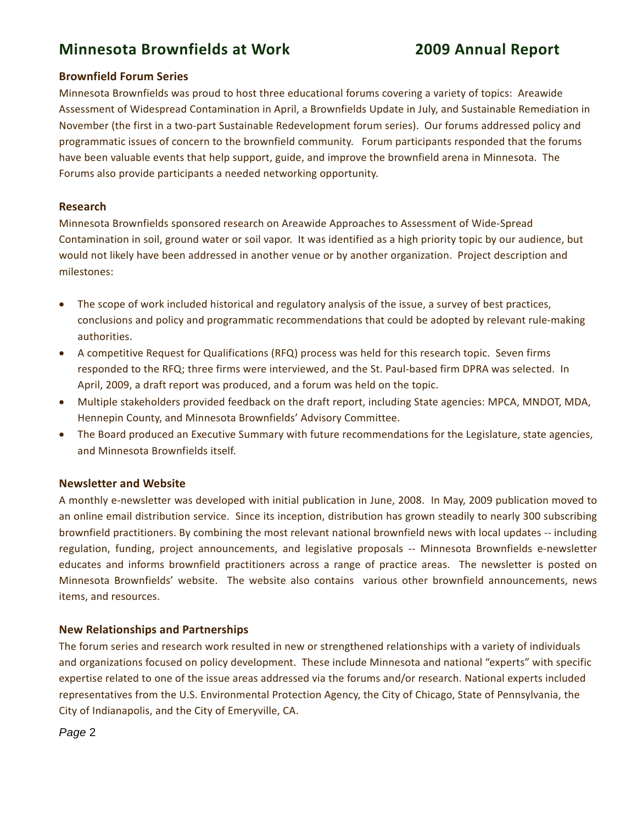# **Minnesota Brownfields at Work 2009 Annual Report**

# **Brownfield Forum Series**

Minnesota Brownfields was proud to host three educational forums covering a variety of topics: Areawide Assessment of Widespread Contamination in April, a Brownfields Update in July, and Sustainable Remediation in November (the first in a two‐part Sustainable Redevelopment forum series). Our forums addressed policy and programmatic issues of concern to the brownfield community. Forum participants responded that the forums have been valuable events that help support, guide, and improve the brownfield arena in Minnesota. The Forums also provide participants a needed networking opportunity.

# **Research**

Minnesota Brownfields sponsored research on Areawide Approaches to Assessment of Wide‐Spread Contamination in soil, ground water or soil vapor.It was identified as a high priority topic by our audience, but would not likely have been addressed in another venue or by another organization. Project description and milestones:

- The scope of work included historical and regulatory analysis of the issue, a survey of best practices, conclusions and policy and programmatic recommendations that could be adopted by relevant rule‐making authorities.
- A competitive Request for Qualifications (RFQ) process was held for this research topic. Seven firms responded to the RFQ; three firms were interviewed, and the St. Paul‐based firm DPRA was selected. In April, 2009, a draft report was produced, and a forum was held on the topic.
- Multiple stakeholders provided feedback on the draft report, including State agencies: MPCA, MNDOT, MDA, Hennepin County, and Minnesota Brownfields' Advisory Committee.
- The Board produced an Executive Summary with future recommendations for the Legislature, state agencies, and Minnesota Brownfields itself.

# **Newsletter and Website**

A monthly e‐newsletter was developed with initial publication in June, 2008. In May, 2009 publication moved to an online email distribution service. Since its inception, distribution has grown steadily to nearly 300 subscribing brownfield practitioners. By combining the most relevant national brownfield news with local updates ‐‐ including regulation, funding, project announcements, and legislative proposals ‐‐ Minnesota Brownfields e‐newsletter educates and informs brownfield practitioners across a range of practice areas. The newsletter is posted on Minnesota Brownfields' website. The website also contains various other brownfield announcements, news items, and resources.

# **New Relationships and Partnerships**

The forum series and research work resulted in new or strengthened relationships with a variety of individuals and organizations focused on policy development. These include Minnesota and national "experts" with specific expertise related to one of the issue areas addressed via the forums and/or research. National experts included representatives from the U.S. Environmental Protection Agency, the City of Chicago, State of Pennsylvania, the City of Indianapolis, and the City of Emeryville, CA.

*Page* 2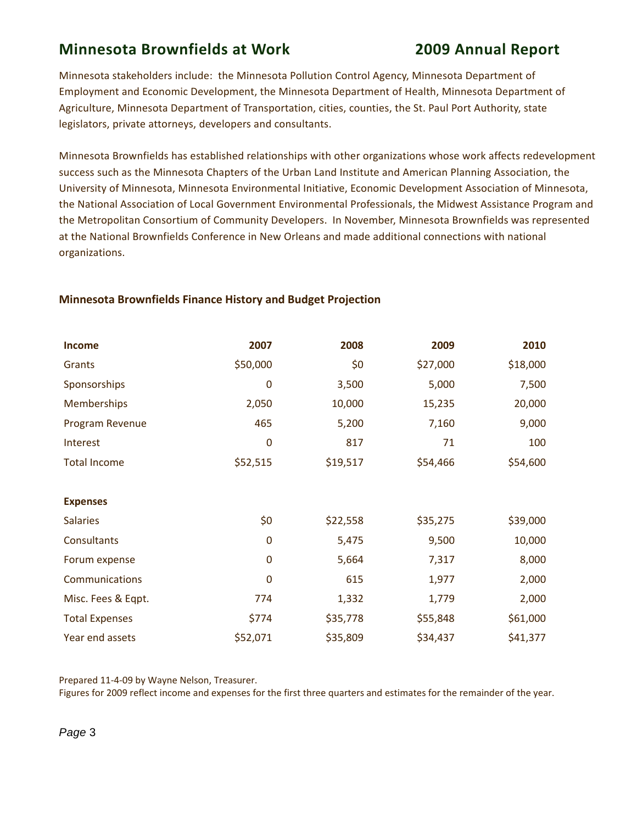# **Minnesota Brownfields at Work 2009 Annual Report**

Minnesota stakeholders include: the Minnesota Pollution Control Agency, Minnesota Department of Employment and Economic Development, the Minnesota Department of Health, Minnesota Department of Agriculture, Minnesota Department of Transportation, cities, counties, the St. Paul Port Authority, state legislators, private attorneys, developers and consultants.

Minnesota Brownfields has established relationships with other organizations whose work affects redevelopment success such as the Minnesota Chapters of the Urban Land Institute and American Planning Association, the University of Minnesota, Minnesota Environmental Initiative, Economic Development Association of Minnesota, the National Association of Local Government Environmental Professionals, the Midwest Assistance Program and the Metropolitan Consortium of Community Developers. In November, Minnesota Brownfields was represented at the National Brownfields Conference in New Orleans and made additional connections with national organizations.

| <b>Income</b>         | 2007        | 2008     | 2009     | 2010     |
|-----------------------|-------------|----------|----------|----------|
| Grants                | \$50,000    | \$0      | \$27,000 | \$18,000 |
| Sponsorships          | 0           | 3,500    | 5,000    | 7,500    |
| <b>Memberships</b>    | 2,050       | 10,000   | 15,235   | 20,000   |
| Program Revenue       | 465         | 5,200    | 7,160    | 9,000    |
| Interest              | 0           | 817      | 71       | 100      |
| <b>Total Income</b>   | \$52,515    | \$19,517 | \$54,466 | \$54,600 |
|                       |             |          |          |          |
| <b>Expenses</b>       |             |          |          |          |
| <b>Salaries</b>       | \$0         | \$22,558 | \$35,275 | \$39,000 |
| Consultants           | $\mathbf 0$ | 5,475    | 9,500    | 10,000   |
| Forum expense         | 0           | 5,664    | 7,317    | 8,000    |
| Communications        | 0           | 615      | 1,977    | 2,000    |
| Misc. Fees & Eqpt.    | 774         | 1,332    | 1,779    | 2,000    |
| <b>Total Expenses</b> | \$774       | \$35,778 | \$55,848 | \$61,000 |
| Year end assets       | \$52,071    | \$35,809 | \$34,437 | \$41,377 |

# **Minnesota Brownfields Finance History and Budget Projection**

Prepared 11‐4‐09 by Wayne Nelson, Treasurer.

Figures for 2009 reflect income and expenses for the first three quarters and estimates for the remainder of the year.